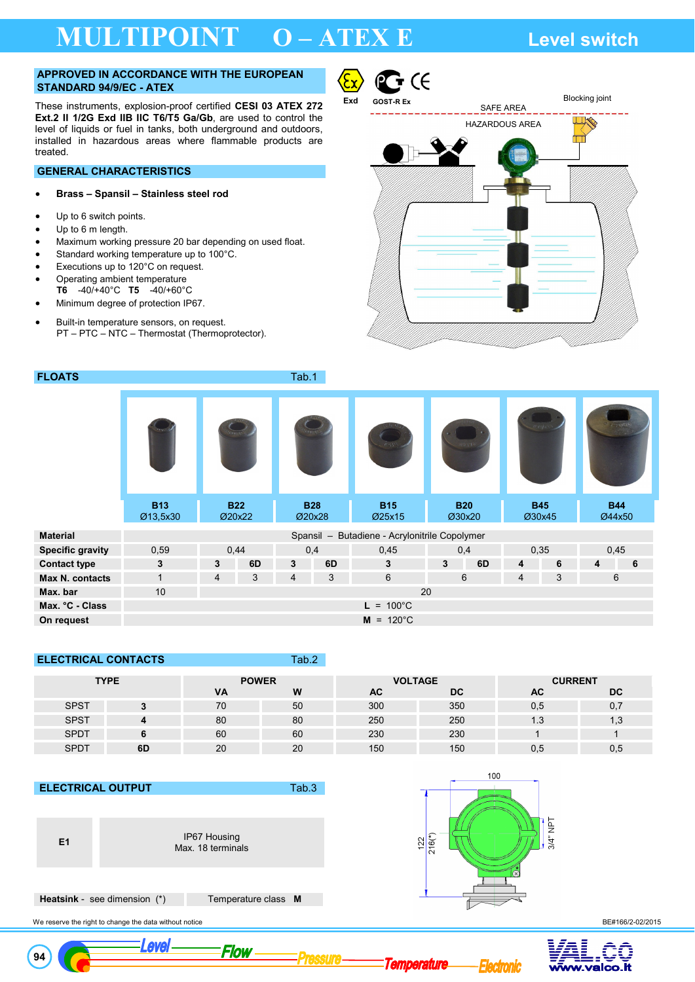# **MULTIPOINT O – ATEX E Level switch**

#### **APPROVED IN ACCORDANCE WITH THE EUROPEAN STANDARD 94/9/EC - ATEX**

These instruments, explosion-proof certified **CESI 03 ATEX 272 Ext.2 II 1/2G Exd IIB IIC T6/T5 Ga/Gb**, are used to control the level of liquids or fuel in tanks, both underground and outdoors, installed in hazardous areas where flammable products are treated.

### **GENERAL CHARACTERISTICS**

### • **Brass – Spansil – Stainless steel rod**

- Up to 6 switch points.
- Up to 6 m length.
- Maximum working pressure 20 bar depending on used float.

**FLOATS** Tab.1

- Standard working temperature up to 100°C.
- Executions up to 120°C on request.
- Operating ambient temperature
- **T6** -40/+40°C **T5** -40/+60°C
- Minimum degree of protection IP67.
- Built-in temperature sensors, on request. PT – PTC – NTC – Thermostat (Thermoprotector).



|                         | <b>B13</b><br>Ø13,5x30 | <b>B22</b><br>Ø20x22 |      | <b>B28</b><br>Ø20x28 |     | <b>B15</b><br>Ø25x15                          | <b>B20</b><br>Ø30x20 |     | <b>B45</b><br>Ø30x45 |   | <b>B44</b><br>Ø44x50 |      |  |
|-------------------------|------------------------|----------------------|------|----------------------|-----|-----------------------------------------------|----------------------|-----|----------------------|---|----------------------|------|--|
| Material                |                        |                      |      |                      |     | Spansil - Butadiene - Acrylonitrile Copolymer |                      |     |                      |   |                      |      |  |
| <b>Specific gravity</b> | 0,59                   |                      | 0,44 |                      | 0,4 | 0,45                                          |                      | 0,4 | 0,35                 |   |                      | 0,45 |  |
| <b>Contact type</b>     | $\mathbf{3}$           | 3                    | 6D   | 3                    | 6D  | 3                                             | 3                    | 6D  | 4                    | 6 | 4                    | 6    |  |
| Max N. contacts         | $\mathbf 1$            | $\overline{4}$       | 3    | $\overline{4}$       | 3   | 6                                             |                      | 6   | 4                    | 3 |                      | 6    |  |
| Max. bar                | 10                     |                      |      |                      |     | 20                                            |                      |     |                      |   |                      |      |  |
| Max. °C - Class         |                        |                      |      |                      |     | $100^{\circ}$ C<br>L =                        |                      |     |                      |   |                      |      |  |
| On request              |                        |                      |      |                      |     | $M = 120^{\circ}C$                            |                      |     |                      |   |                      |      |  |

## **ELECTRICAL CONTACTS Tab.2**

| <b>TYPE</b> |    | <b>POWER</b> |    | <b>VOLTAGE</b> |     | <b>CURRENT</b> |      |  |
|-------------|----|--------------|----|----------------|-----|----------------|------|--|
|             |    | <b>VA</b>    | W  | AC             | DC  | AC             | DC   |  |
| <b>SPST</b> |    | 70           | 50 | 300            | 350 | 0,5            | 0,   |  |
| <b>SPST</b> |    | 80           | 80 | 250            | 250 | 1.3            | د, ا |  |
| <b>SPDT</b> |    | 60           | 60 | 230            | 230 |                |      |  |
| <b>SPDT</b> | 6D | 20           | 20 | 150            | 150 | 0.5            | U.5  |  |

Pressure

#### **ELECTRICAL OUTPUT** Tab.3



Max. 18 terminals

Flow



**Temperature** 

100

 **Heatsink** - see dimension (\*) Temperature class **M** 

Level



cironic

3/4" NPT



 **94**